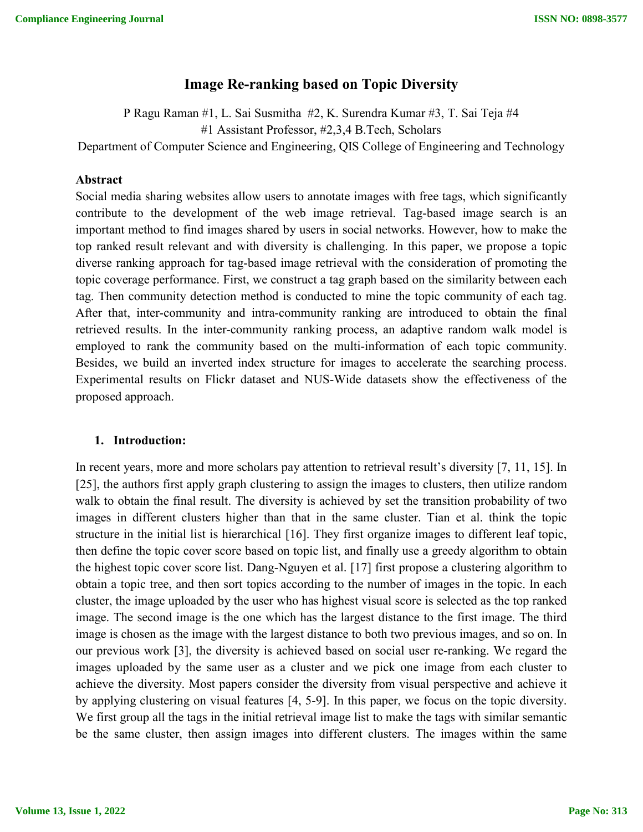# **Image Re-ranking based on Topic Diversity**

P Ragu Raman #1, L. Sai Susmitha #2, K. Surendra Kumar #3, T. Sai Teja #4 #1 Assistant Professor, #2,3,4 B.Tech, Scholars Department of Computer Science and Engineering, QIS College of Engineering and Technology

#### **Abstract**

Social media sharing websites allow users to annotate images with free tags, which significantly contribute to the development of the web image retrieval. Tag-based image search is an important method to find images shared by users in social networks. However, how to make the top ranked result relevant and with diversity is challenging. In this paper, we propose a topic diverse ranking approach for tag-based image retrieval with the consideration of promoting the topic coverage performance. First, we construct a tag graph based on the similarity between each tag. Then community detection method is conducted to mine the topic community of each tag. After that, inter-community and intra-community ranking are introduced to obtain the final retrieved results. In the inter-community ranking process, an adaptive random walk model is employed to rank the community based on the multi-information of each topic community. Besides, we build an inverted index structure for images to accelerate the searching process. Experimental results on Flickr dataset and NUS-Wide datasets show the effectiveness of the proposed approach.

#### **1. Introduction:**

In recent years, more and more scholars pay attention to retrieval result's diversity [7, 11, 15]. In [25], the authors first apply graph clustering to assign the images to clusters, then utilize random walk to obtain the final result. The diversity is achieved by set the transition probability of two images in different clusters higher than that in the same cluster. Tian et al. think the topic structure in the initial list is hierarchical [16]. They first organize images to different leaf topic, then define the topic cover score based on topic list, and finally use a greedy algorithm to obtain the highest topic cover score list. Dang-Nguyen et al. [17] first propose a clustering algorithm to obtain a topic tree, and then sort topics according to the number of images in the topic. In each cluster, the image uploaded by the user who has highest visual score is selected as the top ranked image. The second image is the one which has the largest distance to the first image. The third image is chosen as the image with the largest distance to both two previous images, and so on. In our previous work [3], the diversity is achieved based on social user re-ranking. We regard the images uploaded by the same user as a cluster and we pick one image from each cluster to achieve the diversity. Most papers consider the diversity from visual perspective and achieve it by applying clustering on visual features [4, 5-9]. In this paper, we focus on the topic diversity. We first group all the tags in the initial retrieval image list to make the tags with similar semantic be the same cluster, then assign images into different clusters. The images within the same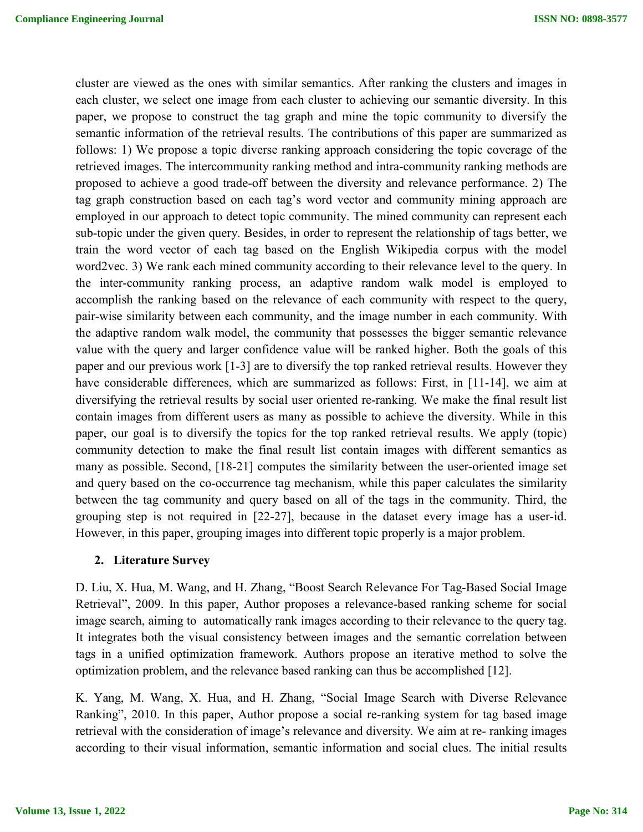cluster are viewed as the ones with similar semantics. After ranking the clusters and images in each cluster, we select one image from each cluster to achieving our semantic diversity. In this paper, we propose to construct the tag graph and mine the topic community to diversify the semantic information of the retrieval results. The contributions of this paper are summarized as follows: 1) We propose a topic diverse ranking approach considering the topic coverage of the retrieved images. The intercommunity ranking method and intra-community ranking methods are proposed to achieve a good trade-off between the diversity and relevance performance. 2) The tag graph construction based on each tag's word vector and community mining approach are employed in our approach to detect topic community. The mined community can represent each sub-topic under the given query. Besides, in order to represent the relationship of tags better, we train the word vector of each tag based on the English Wikipedia corpus with the model word2vec. 3) We rank each mined community according to their relevance level to the query. In the inter-community ranking process, an adaptive random walk model is employed to accomplish the ranking based on the relevance of each community with respect to the query, pair-wise similarity between each community, and the image number in each community. With the adaptive random walk model, the community that possesses the bigger semantic relevance value with the query and larger confidence value will be ranked higher. Both the goals of this paper and our previous work [1-3] are to diversify the top ranked retrieval results. However they have considerable differences, which are summarized as follows: First, in [11-14], we aim at diversifying the retrieval results by social user oriented re-ranking. We make the final result list contain images from different users as many as possible to achieve the diversity. While in this paper, our goal is to diversify the topics for the top ranked retrieval results. We apply (topic) community detection to make the final result list contain images with different semantics as many as possible. Second, [18-21] computes the similarity between the user-oriented image set and query based on the co-occurrence tag mechanism, while this paper calculates the similarity between the tag community and query based on all of the tags in the community. Third, the grouping step is not required in [22-27], because in the dataset every image has a user-id. However, in this paper, grouping images into different topic properly is a major problem.

#### **2. Literature Survey**

D. Liu, X. Hua, M. Wang, and H. Zhang, "Boost Search Relevance For Tag-Based Social Image Retrieval", 2009. In this paper, Author proposes a relevance-based ranking scheme for social image search, aiming to automatically rank images according to their relevance to the query tag. It integrates both the visual consistency between images and the semantic correlation between tags in a unified optimization framework. Authors propose an iterative method to solve the optimization problem, and the relevance based ranking can thus be accomplished [12].

K. Yang, M. Wang, X. Hua, and H. Zhang, "Social Image Search with Diverse Relevance Ranking", 2010. In this paper, Author propose a social re-ranking system for tag based image retrieval with the consideration of image's relevance and diversity. We aim at re- ranking images according to their visual information, semantic information and social clues. The initial results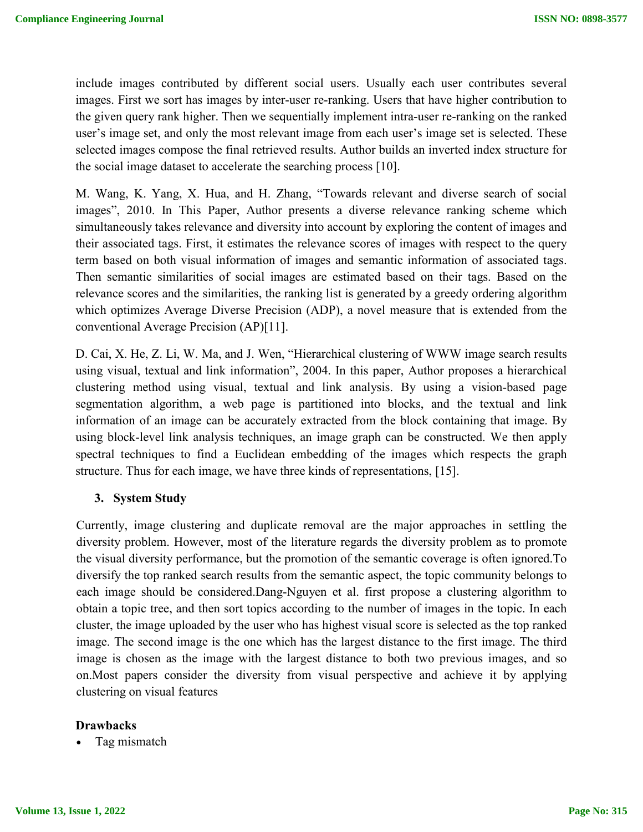include images contributed by different social users. Usually each user contributes several images. First we sort has images by inter-user re-ranking. Users that have higher contribution to the given query rank higher. Then we sequentially implement intra-user re-ranking on the ranked user's image set, and only the most relevant image from each user's image set is selected. These selected images compose the final retrieved results. Author builds an inverted index structure for the social image dataset to accelerate the searching process [10].

M. Wang, K. Yang, X. Hua, and H. Zhang, "Towards relevant and diverse search of social images", 2010. In This Paper, Author presents a diverse relevance ranking scheme which simultaneously takes relevance and diversity into account by exploring the content of images and their associated tags. First, it estimates the relevance scores of images with respect to the query term based on both visual information of images and semantic information of associated tags. Then semantic similarities of social images are estimated based on their tags. Based on the relevance scores and the similarities, the ranking list is generated by a greedy ordering algorithm which optimizes Average Diverse Precision (ADP), a novel measure that is extended from the conventional Average Precision (AP)[11].

D. Cai, X. He, Z. Li, W. Ma, and J. Wen, "Hierarchical clustering of WWW image search results using visual, textual and link information", 2004. In this paper, Author proposes a hierarchical clustering method using visual, textual and link analysis. By using a vision-based page segmentation algorithm, a web page is partitioned into blocks, and the textual and link information of an image can be accurately extracted from the block containing that image. By using block-level link analysis techniques, an image graph can be constructed. We then apply spectral techniques to find a Euclidean embedding of the images which respects the graph structure. Thus for each image, we have three kinds of representations, [15].

# **3. System Study**

Currently, image clustering and duplicate removal are the major approaches in settling the diversity problem. However, most of the literature regards the diversity problem as to promote the visual diversity performance, but the promotion of the semantic coverage is often ignored.To diversify the top ranked search results from the semantic aspect, the topic community belongs to each image should be considered.Dang-Nguyen et al. first propose a clustering algorithm to obtain a topic tree, and then sort topics according to the number of images in the topic. In each cluster, the image uploaded by the user who has highest visual score is selected as the top ranked image. The second image is the one which has the largest distance to the first image. The third image is chosen as the image with the largest distance to both two previous images, and so on.Most papers consider the diversity from visual perspective and achieve it by applying clustering on visual features

#### **Drawbacks**

Tag mismatch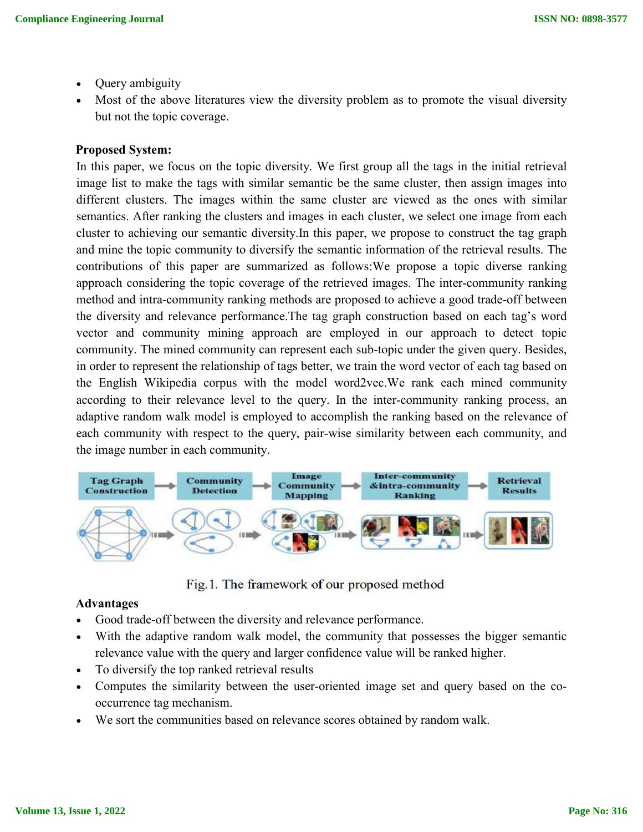- Query ambiguity
- Most of the above literatures view the diversity problem as to promote the visual diversity but not the topic coverage.

### **Proposed System:**

In this paper, we focus on the topic diversity. We first group all the tags in the initial retrieval image list to make the tags with similar semantic be the same cluster, then assign images into different clusters. The images within the same cluster are viewed as the ones with similar semantics. After ranking the clusters and images in each cluster, we select one image from each cluster to achieving our semantic diversity.In this paper, we propose to construct the tag graph and mine the topic community to diversify the semantic information of the retrieval results. The contributions of this paper are summarized as follows:We propose a topic diverse ranking approach considering the topic coverage of the retrieved images. The inter-community ranking method and intra-community ranking methods are proposed to achieve a good trade-off between the diversity and relevance performance.The tag graph construction based on each tag's word vector and community mining approach are employed in our approach to detect topic community. The mined community can represent each sub-topic under the given query. Besides, in order to represent the relationship of tags better, we train the word vector of each tag based on the English Wikipedia corpus with the model word2vec.We rank each mined community according to their relevance level to the query. In the inter-community ranking process, an adaptive random walk model is employed to accomplish the ranking based on the relevance of each community with respect to the query, pair-wise similarity between each community, and the image number in each community.



Fig. 1. The framework of our proposed method

# **Advantages**

- Good trade-off between the diversity and relevance performance.
- With the adaptive random walk model, the community that possesses the bigger semantic relevance value with the query and larger confidence value will be ranked higher.
- To diversify the top ranked retrieval results
- Computes the similarity between the user-oriented image set and query based on the cooccurrence tag mechanism.
- We sort the communities based on relevance scores obtained by random walk.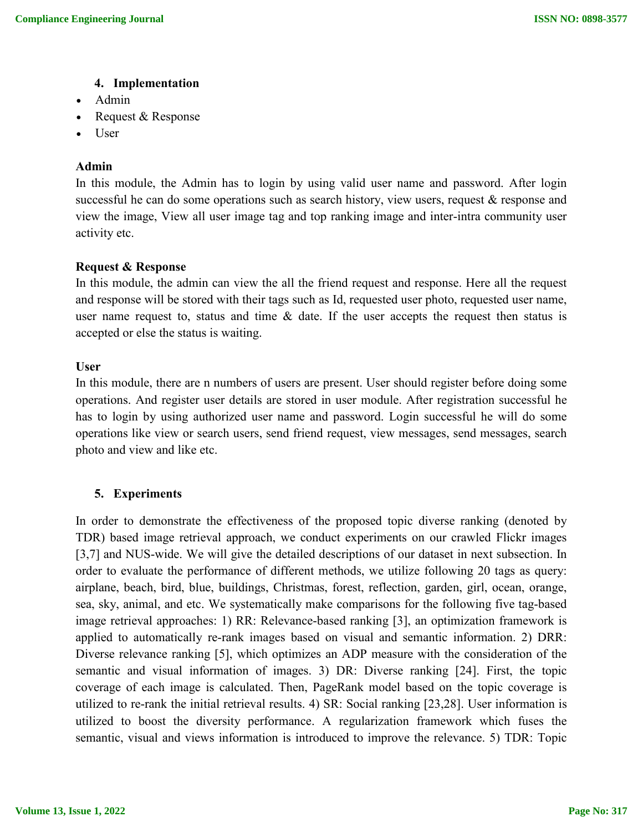#### **4. Implementation**

- Admin
- Request & Response
- User

# **Admin**

In this module, the Admin has to login by using valid user name and password. After login successful he can do some operations such as search history, view users, request & response and view the image, View all user image tag and top ranking image and inter-intra community user activity etc.

### **Request & Response**

In this module, the admin can view the all the friend request and response. Here all the request and response will be stored with their tags such as Id, requested user photo, requested user name, user name request to, status and time  $\&$  date. If the user accepts the request then status is accepted or else the status is waiting.

### **User**

In this module, there are n numbers of users are present. User should register before doing some operations. And register user details are stored in user module. After registration successful he has to login by using authorized user name and password. Login successful he will do some operations like view or search users, send friend request, view messages, send messages, search photo and view and like etc.

# **5. Experiments**

In order to demonstrate the effectiveness of the proposed topic diverse ranking (denoted by TDR) based image retrieval approach, we conduct experiments on our crawled Flickr images [3,7] and NUS-wide. We will give the detailed descriptions of our dataset in next subsection. In order to evaluate the performance of different methods, we utilize following 20 tags as query: airplane, beach, bird, blue, buildings, Christmas, forest, reflection, garden, girl, ocean, orange, sea, sky, animal, and etc. We systematically make comparisons for the following five tag-based image retrieval approaches: 1) RR: Relevance-based ranking [3], an optimization framework is applied to automatically re-rank images based on visual and semantic information. 2) DRR: Diverse relevance ranking [5], which optimizes an ADP measure with the consideration of the semantic and visual information of images. 3) DR: Diverse ranking [24]. First, the topic coverage of each image is calculated. Then, PageRank model based on the topic coverage is utilized to re-rank the initial retrieval results. 4) SR: Social ranking [23,28]. User information is utilized to boost the diversity performance. A regularization framework which fuses the semantic, visual and views information is introduced to improve the relevance. 5) TDR: Topic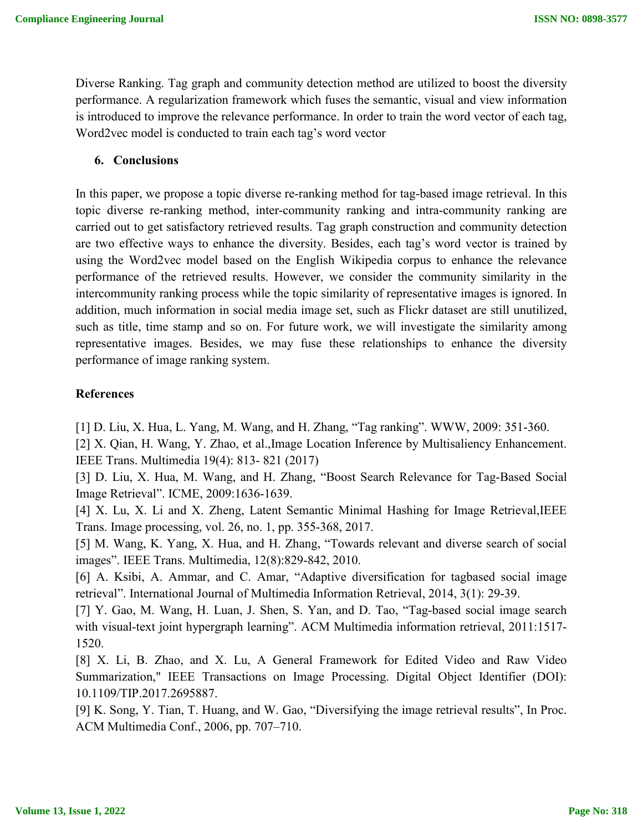Diverse Ranking. Tag graph and community detection method are utilized to boost the diversity performance. A regularization framework which fuses the semantic, visual and view information is introduced to improve the relevance performance. In order to train the word vector of each tag, Word2vec model is conducted to train each tag's word vector

#### **6. Conclusions**

In this paper, we propose a topic diverse re-ranking method for tag-based image retrieval. In this topic diverse re-ranking method, inter-community ranking and intra-community ranking are carried out to get satisfactory retrieved results. Tag graph construction and community detection are two effective ways to enhance the diversity. Besides, each tag's word vector is trained by using the Word2vec model based on the English Wikipedia corpus to enhance the relevance performance of the retrieved results. However, we consider the community similarity in the intercommunity ranking process while the topic similarity of representative images is ignored. In addition, much information in social media image set, such as Flickr dataset are still unutilized, such as title, time stamp and so on. For future work, we will investigate the similarity among representative images. Besides, we may fuse these relationships to enhance the diversity performance of image ranking system.

### **References**

[1] D. Liu, X. Hua, L. Yang, M. Wang, and H. Zhang, "Tag ranking". WWW, 2009: 351-360.

[2] X. Qian, H. Wang, Y. Zhao, et al.,Image Location Inference by Multisaliency Enhancement. IEEE Trans. Multimedia 19(4): 813- 821 (2017)

[3] D. Liu, X. Hua, M. Wang, and H. Zhang, "Boost Search Relevance for Tag-Based Social Image Retrieval". ICME, 2009:1636-1639.

[4] X. Lu, X. Li and X. Zheng, Latent Semantic Minimal Hashing for Image Retrieval, IEEE Trans. Image processing, vol. 26, no. 1, pp. 355-368, 2017.

[5] M. Wang, K. Yang, X. Hua, and H. Zhang, "Towards relevant and diverse search of social images". IEEE Trans. Multimedia, 12(8):829-842, 2010.

[6] A. Ksibi, A. Ammar, and C. Amar, "Adaptive diversification for tagbased social image retrieval". International Journal of Multimedia Information Retrieval, 2014, 3(1): 29-39.

[7] Y. Gao, M. Wang, H. Luan, J. Shen, S. Yan, and D. Tao, "Tag-based social image search with visual-text joint hypergraph learning". ACM Multimedia information retrieval, 2011:1517-1520.

[8] X. Li, B. Zhao, and X. Lu, A General Framework for Edited Video and Raw Video Summarization," IEEE Transactions on Image Processing. Digital Object Identifier (DOI): 10.1109/TIP.2017.2695887.

[9] K. Song, Y. Tian, T. Huang, and W. Gao, "Diversifying the image retrieval results", In Proc. ACM Multimedia Conf., 2006, pp. 707–710.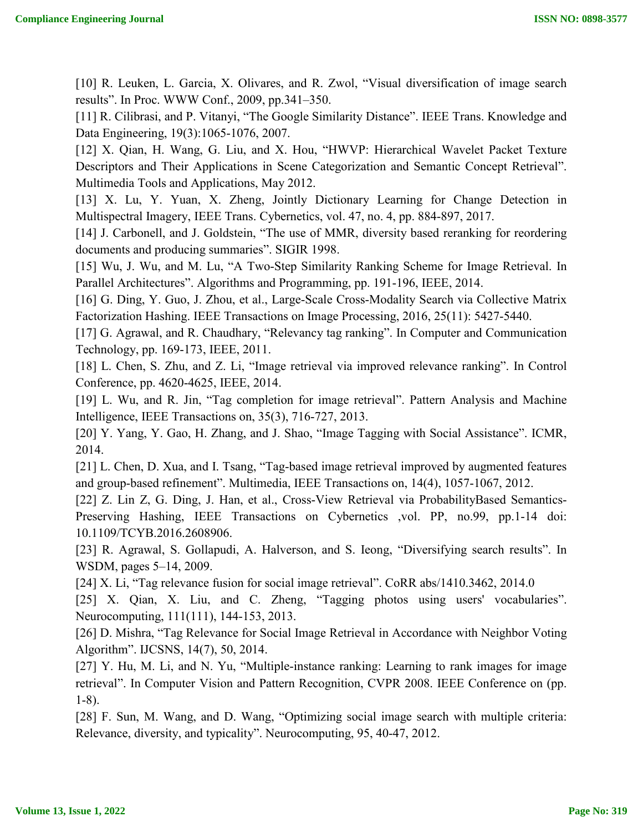[10] R. Leuken, L. Garcia, X. Olivares, and R. Zwol, "Visual diversification of image search results". In Proc. WWW Conf., 2009, pp.341–350.

[11] R. Cilibrasi, and P. Vitanyi, "The Google Similarity Distance". IEEE Trans. Knowledge and Data Engineering, 19(3):1065-1076, 2007.

[12] X. Qian, H. Wang, G. Liu, and X. Hou, "HWVP: Hierarchical Wavelet Packet Texture Descriptors and Their Applications in Scene Categorization and Semantic Concept Retrieval". Multimedia Tools and Applications, May 2012.

[13] X. Lu, Y. Yuan, X. Zheng, Jointly Dictionary Learning for Change Detection in Multispectral Imagery, IEEE Trans. Cybernetics, vol. 47, no. 4, pp. 884-897, 2017.

[14] J. Carbonell, and J. Goldstein, "The use of MMR, diversity based reranking for reordering documents and producing summaries". SIGIR 1998.

[15] Wu, J. Wu, and M. Lu, "A Two-Step Similarity Ranking Scheme for Image Retrieval. In Parallel Architectures". Algorithms and Programming, pp. 191-196, IEEE, 2014.

[16] G. Ding, Y. Guo, J. Zhou, et al., Large-Scale Cross-Modality Search via Collective Matrix Factorization Hashing. IEEE Transactions on Image Processing, 2016, 25(11): 5427-5440.

[17] G. Agrawal, and R. Chaudhary, "Relevancy tag ranking". In Computer and Communication Technology, pp. 169-173, IEEE, 2011.

[18] L. Chen, S. Zhu, and Z. Li, "Image retrieval via improved relevance ranking". In Control Conference, pp. 4620-4625, IEEE, 2014.

[19] L. Wu, and R. Jin, "Tag completion for image retrieval". Pattern Analysis and Machine Intelligence, IEEE Transactions on, 35(3), 716-727, 2013.

[20] Y. Yang, Y. Gao, H. Zhang, and J. Shao, "Image Tagging with Social Assistance". ICMR, 2014.

[21] L. Chen, D. Xua, and I. Tsang, "Tag-based image retrieval improved by augmented features and group-based refinement". Multimedia, IEEE Transactions on, 14(4), 1057-1067, 2012.

[22] Z. Lin Z, G. Ding, J. Han, et al., Cross-View Retrieval via ProbabilityBased Semantics-Preserving Hashing, IEEE Transactions on Cybernetics ,vol. PP, no.99, pp.1-14 doi: 10.1109/TCYB.2016.2608906.

[23] R. Agrawal, S. Gollapudi, A. Halverson, and S. Ieong, "Diversifying search results". In WSDM, pages 5–14, 2009.

[24] X. Li, "Tag relevance fusion for social image retrieval". CoRR abs/1410.3462, 2014.0

[25] X. Qian, X. Liu, and C. Zheng, "Tagging photos using users' vocabularies". Neurocomputing, 111(111), 144-153, 2013.

[26] D. Mishra, "Tag Relevance for Social Image Retrieval in Accordance with Neighbor Voting Algorithm". IJCSNS, 14(7), 50, 2014.

[27] Y. Hu, M. Li, and N. Yu, "Multiple-instance ranking: Learning to rank images for image retrieval". In Computer Vision and Pattern Recognition, CVPR 2008. IEEE Conference on (pp. 1-8).

[28] F. Sun, M. Wang, and D. Wang, "Optimizing social image search with multiple criteria: Relevance, diversity, and typicality". Neurocomputing, 95, 40-47, 2012.